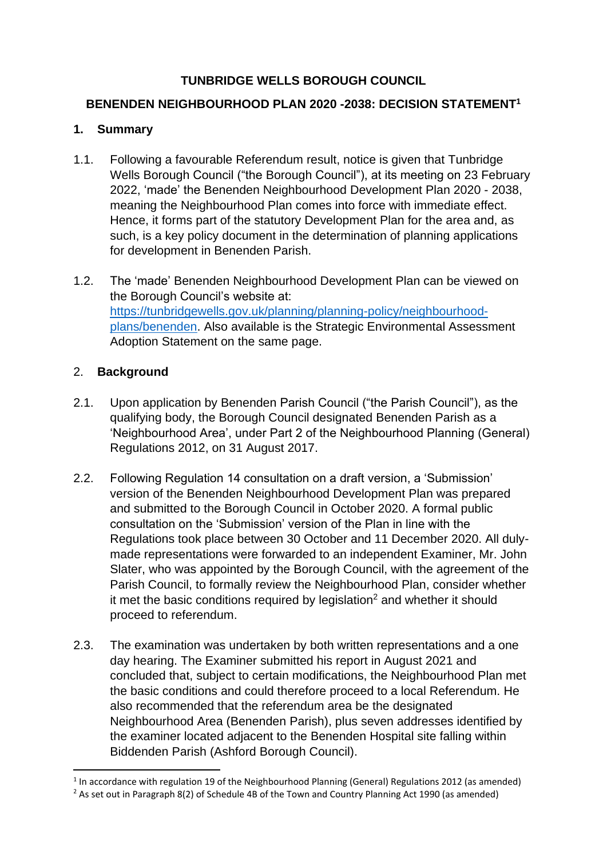## **TUNBRIDGE WELLS BOROUGH COUNCIL**

### **BENENDEN NEIGHBOURHOOD PLAN 2020 -2038: DECISION STATEMENT<sup>1</sup>**

## **1. Summary**

- 1.1. Following a favourable Referendum result, notice is given that Tunbridge Wells Borough Council ("the Borough Council"), at its meeting on 23 February 2022, 'made' the Benenden Neighbourhood Development Plan 2020 - 2038, meaning the Neighbourhood Plan comes into force with immediate effect. Hence, it forms part of the statutory Development Plan for the area and, as such, is a key policy document in the determination of planning applications for development in Benenden Parish.
- 1.2. The 'made' Benenden Neighbourhood Development Plan can be viewed on the Borough Council's website at: [https://tunbridgewells.gov.uk/planning/planning-policy/neighbourhood](https://tunbridgewells.gov.uk/planning/planning-policy/neighbourhood-plans/benenden)[plans/benenden.](https://tunbridgewells.gov.uk/planning/planning-policy/neighbourhood-plans/benenden) Also available is the Strategic Environmental Assessment Adoption Statement on the same page.

## 2. **Background**

- 2.1. Upon application by Benenden Parish Council ("the Parish Council"), as the qualifying body, the Borough Council designated Benenden Parish as a 'Neighbourhood Area', under Part 2 of the Neighbourhood Planning (General) Regulations 2012, on 31 August 2017.
- 2.2. Following Regulation 14 consultation on a draft version, a 'Submission' version of the Benenden Neighbourhood Development Plan was prepared and submitted to the Borough Council in October 2020. A formal public consultation on the 'Submission' version of the Plan in line with the Regulations took place between 30 October and 11 December 2020. All dulymade representations were forwarded to an independent Examiner, Mr. John Slater, who was appointed by the Borough Council, with the agreement of the Parish Council, to formally review the Neighbourhood Plan, consider whether it met the basic conditions required by legislation<sup>2</sup> and whether it should proceed to referendum.
- 2.3. The examination was undertaken by both written representations and a one day hearing. The Examiner submitted his report in August 2021 and concluded that, subject to certain modifications, the Neighbourhood Plan met the basic conditions and could therefore proceed to a local Referendum. He also recommended that the referendum area be the designated Neighbourhood Area (Benenden Parish), plus seven addresses identified by the examiner located adjacent to the Benenden Hospital site falling within Biddenden Parish (Ashford Borough Council).

<sup>&</sup>lt;sup>1</sup> In accordance with regulation 19 of the Neighbourhood Planning (General) Regulations 2012 (as amended) <sup>2</sup> As set out in Paragraph 8(2) of Schedule 4B of the Town and Country Planning Act 1990 (as amended)